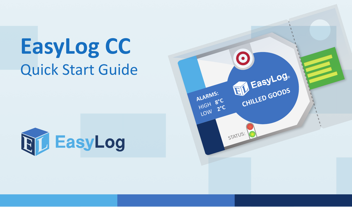## **EasyLog CC** Quick Start Guide



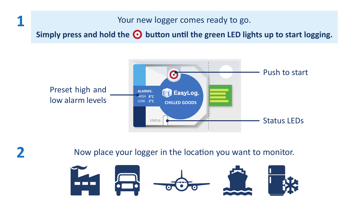## Your new logger comes ready to go.

Simply press and hold the  $\odot$  button until the green LED lights up to start logging.





**1**

Now place your logger in the location you want to monitor.

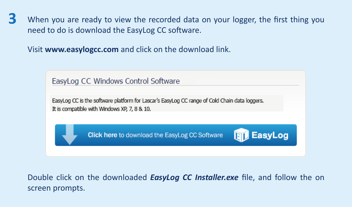When you are ready to view the recorded data on your logger, the first thing you need to do is download the EasyLog CC software. **3**

Visit **www.easylogcc.com** and click on the download link.



Double click on the downloaded *EasyLog CC Installer.exe* file, and follow the on screen prompts.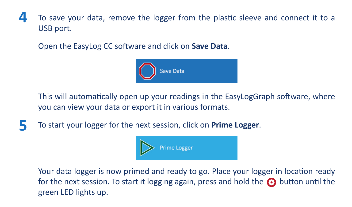## To save your data, remove the logger from the plastic sleeve and connect it to a USB port. **4**

Open the EasyLog CC software and click on **Save Data**.



This will automatically open up your readings in the EasyLogGraph software, where you can view your data or export it in various formats.

To start your logger for the next session, click on **Prime Logger**. **5**



Your data logger is now primed and ready to go. Place your logger in location ready for the next session. To start it logging again, press and hold the  $\odot$  button until the green LED lights up.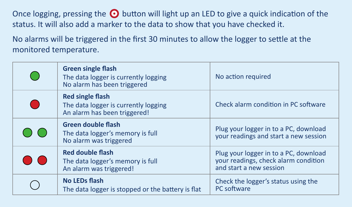Once logging, pressing the  $\odot$  button will light up an LED to give a quick indication of the status. It will also add a marker to the data to show that you have checked it.

No alarms will be triggered in the first 30 minutes to allow the logger to settle at the monitored temperature.

| <b>Green single flash</b><br>The data logger is currently logging<br>No alarm has been triggered | No action required                                                                                       |
|--------------------------------------------------------------------------------------------------|----------------------------------------------------------------------------------------------------------|
| <b>Red single flash</b><br>The data logger is currently logging<br>An alarm has been triggered!  | Check alarm condition in PC software                                                                     |
| <b>Green double flash</b><br>The data logger's memory is full<br>No alarm was triggered          | Plug your logger in to a PC, download<br>vour readings and start a new session                           |
| <b>Red double flash</b><br>The data logger's memory is full<br>An alarm was triggered!           | Plug your logger in to a PC, download<br>vour readings, check alarm condition<br>and start a new session |
| No LEDs flash<br>The data logger is stopped or the battery is flat                               | Check the logger's status using the<br>PC software                                                       |